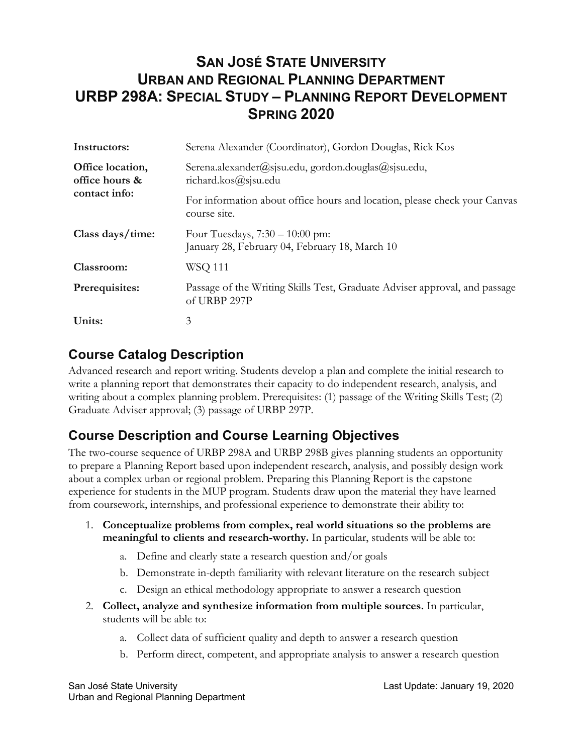# **SAN JOSÉ STATE UNIVERSITY URBAN AND REGIONAL PLANNING DEPARTMENT URBP 298A: SPECIAL STUDY – PLANNING REPORT DEVELOPMENT SPRING 2020**

| Instructors:                                        | Serena Alexander (Coordinator), Gordon Douglas, Rick Kos                                   |  |
|-----------------------------------------------------|--------------------------------------------------------------------------------------------|--|
| Office location,<br>office hours &<br>contact info: | Serena.alexander@sjsu.edu, gordon.douglas@sjsu.edu,<br>richard.kos@sjsu.edu                |  |
|                                                     | For information about office hours and location, please check your Canvas<br>course site.  |  |
| Class days/time:                                    | Four Tuesdays, $7:30 - 10:00$ pm:<br>January 28, February 04, February 18, March 10        |  |
| Classroom:                                          | <b>WSQ 111</b>                                                                             |  |
| Prerequisites:                                      | Passage of the Writing Skills Test, Graduate Adviser approval, and passage<br>of URBP 297P |  |
| Units:                                              | 3                                                                                          |  |

### **Course Catalog Description**

Advanced research and report writing. Students develop a plan and complete the initial research to write a planning report that demonstrates their capacity to do independent research, analysis, and writing about a complex planning problem. Prerequisites: (1) passage of the Writing Skills Test; (2) Graduate Adviser approval; (3) passage of URBP 297P.

## **Course Description and Course Learning Objectives**

The two-course sequence of URBP 298A and URBP 298B gives planning students an opportunity to prepare a Planning Report based upon independent research, analysis, and possibly design work about a complex urban or regional problem. Preparing this Planning Report is the capstone experience for students in the MUP program. Students draw upon the material they have learned from coursework, internships, and professional experience to demonstrate their ability to:

- 1. **Conceptualize problems from complex, real world situations so the problems are meaningful to clients and research-worthy.** In particular, students will be able to:
	- a. Define and clearly state a research question and/or goals
	- b. Demonstrate in-depth familiarity with relevant literature on the research subject
	- c. Design an ethical methodology appropriate to answer a research question
- 2. **Collect, analyze and synthesize information from multiple sources.** In particular, students will be able to:
	- a. Collect data of sufficient quality and depth to answer a research question
	- b. Perform direct, competent, and appropriate analysis to answer a research question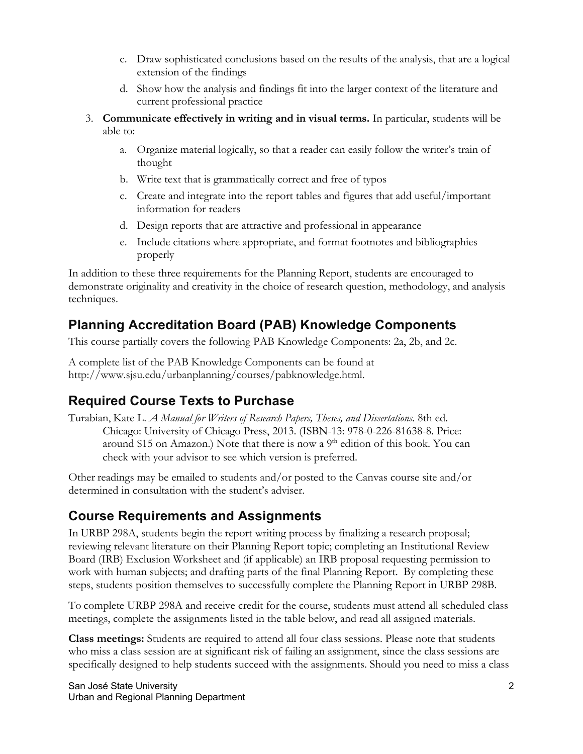- c. Draw sophisticated conclusions based on the results of the analysis, that are a logical extension of the findings
- d. Show how the analysis and findings fit into the larger context of the literature and current professional practice
- 3. **Communicate effectively in writing and in visual terms.** In particular, students will be able to:
	- a. Organize material logically, so that a reader can easily follow the writer's train of thought
	- b. Write text that is grammatically correct and free of typos
	- c. Create and integrate into the report tables and figures that add useful/important information for readers
	- d. Design reports that are attractive and professional in appearance
	- e. Include citations where appropriate, and format footnotes and bibliographies properly

In addition to these three requirements for the Planning Report, students are encouraged to demonstrate originality and creativity in the choice of research question, methodology, and analysis techniques.

# **Planning Accreditation Board (PAB) Knowledge Components**

This course partially covers the following PAB Knowledge Components: 2a, 2b, and 2c.

A complete list of the PAB Knowledge Components can be found at http://www.sjsu.edu/urbanplanning/courses/pabknowledge.html.

# **Required Course Texts to Purchase**

Turabian, Kate L. *A Manual for Writers of Research Papers, Theses, and Dissertations.* 8th ed. Chicago: University of Chicago Press, 2013. (ISBN-13: 978-0-226-81638-8. Price: around \$15 on Amazon.) Note that there is now a  $9<sup>th</sup>$  edition of this book. You can check with your advisor to see which version is preferred.

Other readings may be emailed to students and/or posted to the Canvas course site and/or determined in consultation with the student's adviser.

## **Course Requirements and Assignments**

In URBP 298A, students begin the report writing process by finalizing a research proposal; reviewing relevant literature on their Planning Report topic; completing an Institutional Review Board (IRB) Exclusion Worksheet and (if applicable) an IRB proposal requesting permission to work with human subjects; and drafting parts of the final Planning Report. By completing these steps, students position themselves to successfully complete the Planning Report in URBP 298B.

To complete URBP 298A and receive credit for the course, students must attend all scheduled class meetings, complete the assignments listed in the table below, and read all assigned materials.

**Class meetings:** Students are required to attend all four class sessions. Please note that students who miss a class session are at significant risk of failing an assignment, since the class sessions are specifically designed to help students succeed with the assignments. Should you need to miss a class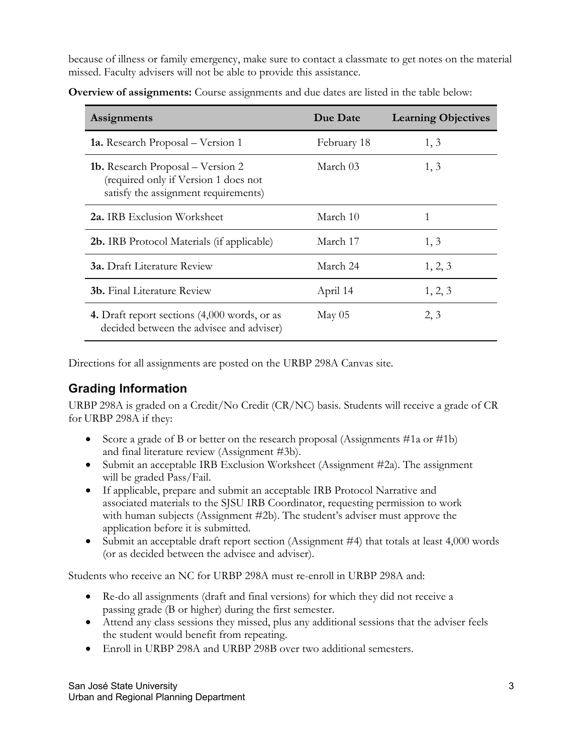because of illness or family emergency, make sure to contact a classmate to get notes on the material missed. Faculty advisers will not be able to provide this assistance.

| Assignments                                                                                                              | Due Date        | <b>Learning Objectives</b> |
|--------------------------------------------------------------------------------------------------------------------------|-----------------|----------------------------|
| <b>1a.</b> Research Proposal – Version 1                                                                                 | February 18     | 1, 3                       |
| <b>1b.</b> Research Proposal – Version 2<br>(required only if Version 1 does not<br>satisfy the assignment requirements) | March 03        | 1, 3                       |
| <b>2a.</b> IRB Exclusion Worksheet                                                                                       | March 10        | 1                          |
| <b>2b.</b> IRB Protocol Materials (if applicable)                                                                        | March 17        | 1, 3                       |
| <b>3a.</b> Draft Literature Review                                                                                       | March 24        | 1, 2, 3                    |
| <b>3b.</b> Final Literature Review                                                                                       | April 14        | 1, 2, 3                    |
| 4. Draft report sections (4,000 words, or as<br>decided between the advisee and adviser)                                 | $\text{May }05$ | 2, 3                       |

**Overview of assignments:** Course assignments and due dates are listed in the table below:

Directions for all assignments are posted on the URBP 298A Canvas site.

#### **Grading Information**

URBP 298A is graded on a Credit/No Credit (CR/NC) basis. Students will receive a grade of CR for URBP 298A if they:

- Score a grade of B or better on the research proposal (Assignments #1a or #1b) and final literature review (Assignment #3b).
- Submit an acceptable IRB Exclusion Worksheet (Assignment #2a). The assignment will be graded Pass/Fail.
- If applicable, prepare and submit an acceptable IRB Protocol Narrative and associated materials to the SJSU IRB Coordinator, requesting permission to work with human subjects (Assignment #2b). The student's adviser must approve the application before it is submitted.
- Submit an acceptable draft report section (Assignment #4) that totals at least 4,000 words (or as decided between the advisee and adviser).

Students who receive an NC for URBP 298A must re-enroll in URBP 298A and:

- Re-do all assignments (draft and final versions) for which they did not receive a passing grade (B or higher) during the first semester.
- Attend any class sessions they missed, plus any additional sessions that the adviser feels the student would benefit from repeating.
- Enroll in URBP 298A and URBP 298B over two additional semesters.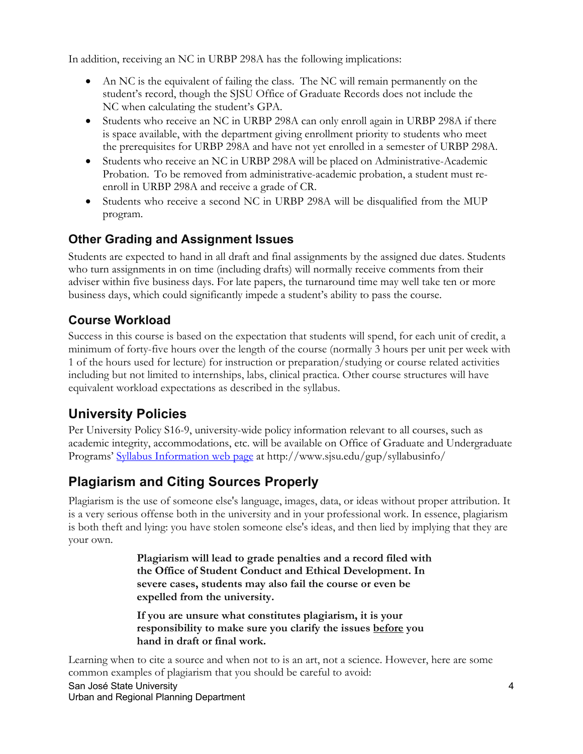In addition, receiving an NC in URBP 298A has the following implications:

- An NC is the equivalent of failing the class. The NC will remain permanently on the student's record, though the SJSU Office of Graduate Records does not include the NC when calculating the student's GPA.
- Students who receive an NC in URBP 298A can only enroll again in URBP 298A if there is space available, with the department giving enrollment priority to students who meet the prerequisites for URBP 298A and have not yet enrolled in a semester of URBP 298A.
- Students who receive an NC in URBP 298A will be placed on Administrative-Academic Probation. To be removed from administrative-academic probation, a student must reenroll in URBP 298A and receive a grade of CR.
- Students who receive a second NC in URBP 298A will be disqualified from the MUP program.

#### **Other Grading and Assignment Issues**

Students are expected to hand in all draft and final assignments by the assigned due dates. Students who turn assignments in on time (including drafts) will normally receive comments from their adviser within five business days. For late papers, the turnaround time may well take ten or more business days, which could significantly impede a student's ability to pass the course.

#### **Course Workload**

Success in this course is based on the expectation that students will spend, for each unit of credit, a minimum of forty-five hours over the length of the course (normally 3 hours per unit per week with 1 of the hours used for lecture) for instruction or preparation/studying or course related activities including but not limited to internships, labs, clinical practica. Other course structures will have equivalent workload expectations as described in the syllabus.

## **University Policies**

Per University Policy S16-9, university-wide policy information relevant to all courses, such as academic integrity, accommodations, etc. will be available on Office of Graduate and Undergraduate Programs' Syllabus Information web page at http://www.sjsu.edu/gup/syllabusinfo/

# **Plagiarism and Citing Sources Properly**

Plagiarism is the use of someone else's language, images, data, or ideas without proper attribution. It is a very serious offense both in the university and in your professional work. In essence, plagiarism is both theft and lying: you have stolen someone else's ideas, and then lied by implying that they are your own.

> **Plagiarism will lead to grade penalties and a record filed with the Office of Student Conduct and Ethical Development. In severe cases, students may also fail the course or even be expelled from the university.**

**If you are unsure what constitutes plagiarism, it is your responsibility to make sure you clarify the issues before you hand in draft or final work.**

San José State University Urban and Regional Planning Department Learning when to cite a source and when not to is an art, not a science. However, here are some common examples of plagiarism that you should be careful to avoid: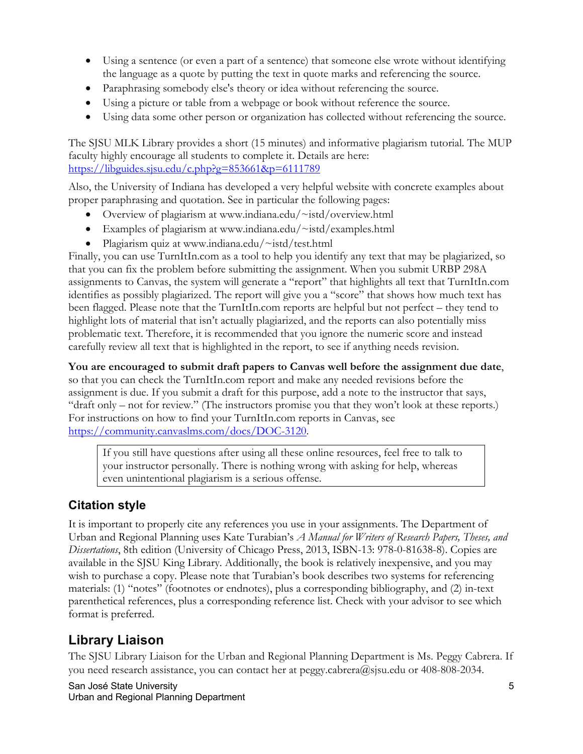- Using a sentence (or even a part of a sentence) that someone else wrote without identifying the language as a quote by putting the text in quote marks and referencing the source.
- Paraphrasing somebody else's theory or idea without referencing the source.
- Using a picture or table from a webpage or book without reference the source.
- Using data some other person or organization has collected without referencing the source.

The SJSU MLK Library provides a short (15 minutes) and informative plagiarism tutorial. The MUP faculty highly encourage all students to complete it. Details are here: https://libguides.sjsu.edu/c.php?g=853661&p=6111789

Also, the University of Indiana has developed a very helpful website with concrete examples about proper paraphrasing and quotation. See in particular the following pages:

- Overview of plagiarism at www.indiana.edu/~istd/overview.html
- Examples of plagiarism at www.indiana.edu/~istd/examples.html
- Plagiarism quiz at www.indiana.edu/~istd/test.html

Finally, you can use TurnItIn.com as a tool to help you identify any text that may be plagiarized, so that you can fix the problem before submitting the assignment. When you submit URBP 298A assignments to Canvas, the system will generate a "report" that highlights all text that TurnItIn.com identifies as possibly plagiarized. The report will give you a "score" that shows how much text has been flagged. Please note that the TurnItIn.com reports are helpful but not perfect – they tend to highlight lots of material that isn't actually plagiarized, and the reports can also potentially miss problematic text. Therefore, it is recommended that you ignore the numeric score and instead carefully review all text that is highlighted in the report, to see if anything needs revision.

**You are encouraged to submit draft papers to Canvas well before the assignment due date**, so that you can check the TurnItIn.com report and make any needed revisions before the assignment is due. If you submit a draft for this purpose, add a note to the instructor that says, "draft only – not for review." (The instructors promise you that they won't look at these reports.) For instructions on how to find your TurnItIn.com reports in Canvas, see https://community.canvaslms.com/docs/DOC-3120.

If you still have questions after using all these online resources, feel free to talk to your instructor personally. There is nothing wrong with asking for help, whereas even unintentional plagiarism is a serious offense.

#### **Citation style**

It is important to properly cite any references you use in your assignments. The Department of Urban and Regional Planning uses Kate Turabian's *A Manual for Writers of Research Papers, Theses, and Dissertations*, 8th edition (University of Chicago Press, 2013, ISBN-13: 978-0-81638-8). Copies are available in the SJSU King Library. Additionally, the book is relatively inexpensive, and you may wish to purchase a copy. Please note that Turabian's book describes two systems for referencing materials: (1) "notes" (footnotes or endnotes), plus a corresponding bibliography, and (2) in-text parenthetical references, plus a corresponding reference list. Check with your advisor to see which format is preferred.

# **Library Liaison**

The SJSU Library Liaison for the Urban and Regional Planning Department is Ms. Peggy Cabrera. If you need research assistance, you can contact her at peggy.cabrera@sjsu.edu or 408-808-2034.

San José State University Urban and Regional Planning Department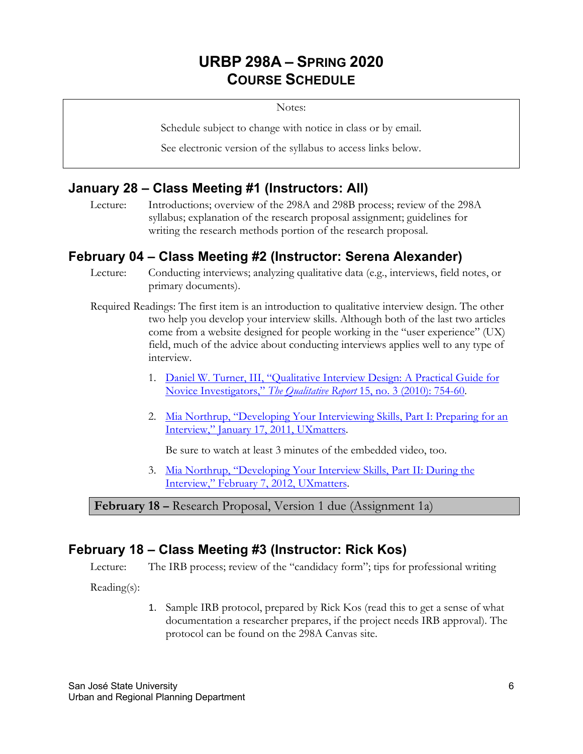# **URBP 298A – SPRING 2020 COURSE SCHEDULE**

Notes:

Schedule subject to change with notice in class or by email.

See electronic version of the syllabus to access links below.

#### **January 28 – Class Meeting #1 (Instructors: All)**

Lecture: Introductions; overview of the 298A and 298B process; review of the 298A syllabus; explanation of the research proposal assignment; guidelines for writing the research methods portion of the research proposal.

#### **February 04 – Class Meeting #2 (Instructor: Serena Alexander)**

Lecture: Conducting interviews; analyzing qualitative data (e.g., interviews, field notes, or primary documents).

- Required Readings: The first item is an introduction to qualitative interview design. The other two help you develop your interview skills. Although both of the last two articles come from a website designed for people working in the "user experience" (UX) field, much of the advice about conducting interviews applies well to any type of interview.
	- 1. Daniel W. Turner, III, "Qualitative Interview Design: A Practical Guide for Novice Investigators," *The Qualitative Report* 15, no. 3 (2010): 754-60.
	- 2. Mia Northrup, "Developing Your Interviewing Skills, Part I: Preparing for an Interview," January 17, 2011, UXmatters.

Be sure to watch at least 3 minutes of the embedded video, too.

3. Mia Northrup, "Developing Your Interview Skills, Part II: During the Interview," February 7, 2012, UXmatters.

**February 18 –** Research Proposal, Version 1 due (Assignment 1a)

#### **February 18 – Class Meeting #3 (Instructor: Rick Kos)**

Lecture: The IRB process; review of the "candidacy form"; tips for professional writing

Reading(s):

1. Sample IRB protocol, prepared by Rick Kos (read this to get a sense of what documentation a researcher prepares, if the project needs IRB approval). The protocol can be found on the 298A Canvas site.

San José State University Urban and Regional Planning Department